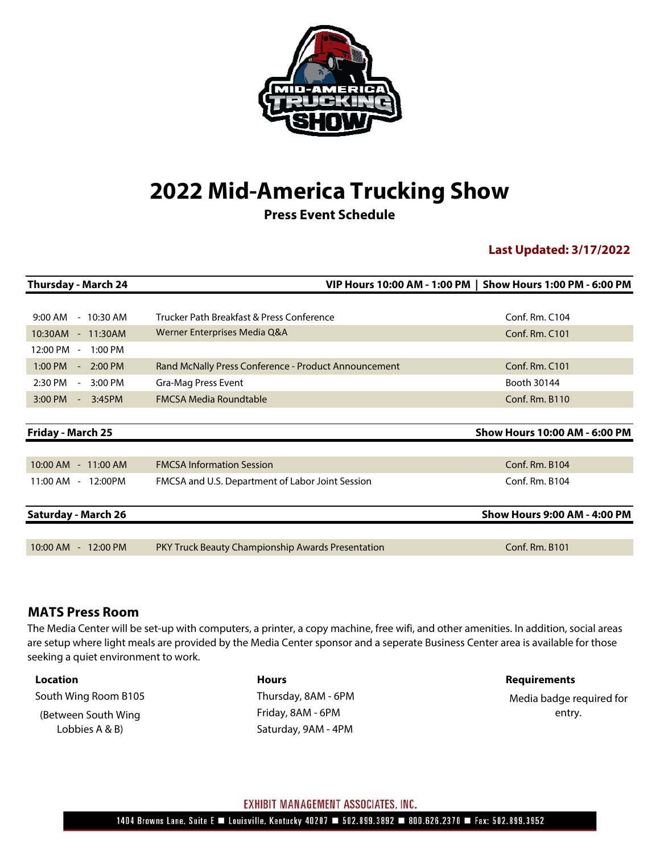

## **2022 Mid-America Trucking Show**

**Press Event Schedule**

## **Last Updated: 3/17/2022**

| <b>Thursday - March 24</b>                    | VIP Hours 10:00 AM - 1:00 PM                         | <b>Show Hours 1:00 PM - 6:00 PM</b> |
|-----------------------------------------------|------------------------------------------------------|-------------------------------------|
|                                               |                                                      |                                     |
| 9:00 AM - 10:30 AM                            | Trucker Path Breakfast & Press Conference            | Conf. Rm. C104                      |
| 10:30AM - 11:30AM                             | Werner Enterprises Media Q&A                         | Conf. Rm. C101                      |
| $12:00 \, \text{PM}$ -<br>1:00 PM             |                                                      |                                     |
| $1:00 \text{ PM} \rightarrow 2:00 \text{ PM}$ | Rand McNally Press Conference - Product Announcement | Conf. Rm. C101                      |
| $2:30 \, \text{PM}$ -<br>3:00 PM              | Gra-Mag Press Event                                  | Booth 30144                         |
| 3:00 PM<br>- 3:45PM                           | <b>FMCSA Media Roundtable</b>                        | <b>Conf. Rm. B110</b>               |
|                                               |                                                      |                                     |
| Friday - March 25                             |                                                      | Show Hours 10:00 AM - 6:00 PM       |
|                                               |                                                      |                                     |
| 10:00 AM - 11:00 AM                           | <b>FMCSA Information Session</b>                     | <b>Conf. Rm. B104</b>               |
| 11:00 AM - 12:00PM                            | FMCSA and U.S. Department of Labor Joint Session     | Conf. Rm. B104                      |
|                                               |                                                      |                                     |
| <b>Saturday - March 26</b>                    |                                                      | <b>Show Hours 9:00 AM - 4:00 PM</b> |
|                                               |                                                      |                                     |
| 10:00 AM - 12:00 PM                           | PKY Truck Beauty Championship Awards Presentation    | <b>Conf. Rm. B101</b>               |
|                                               |                                                      |                                     |

### **MATS Press Room**

The Media Center will be set-up with computers, a printer, a copy machine, free wifi, and other amenities. In addition, social areas are setup where light meals are provided by the Media Center sponsor and a seperate Business Center area is available for those seeking a quiet environment to work.

South Wing Room B105 Thursday, 8AM - 6PM (Between South Wing Lobbies A & B)

**Location Requirements Hours** Requirements **Requirements** Friday, 8AM - 6PM Saturday, 9AM - 4PM

Media badge required for entry.

#### EXHIBIT MANAGEMENT ASSOCIATES, INC.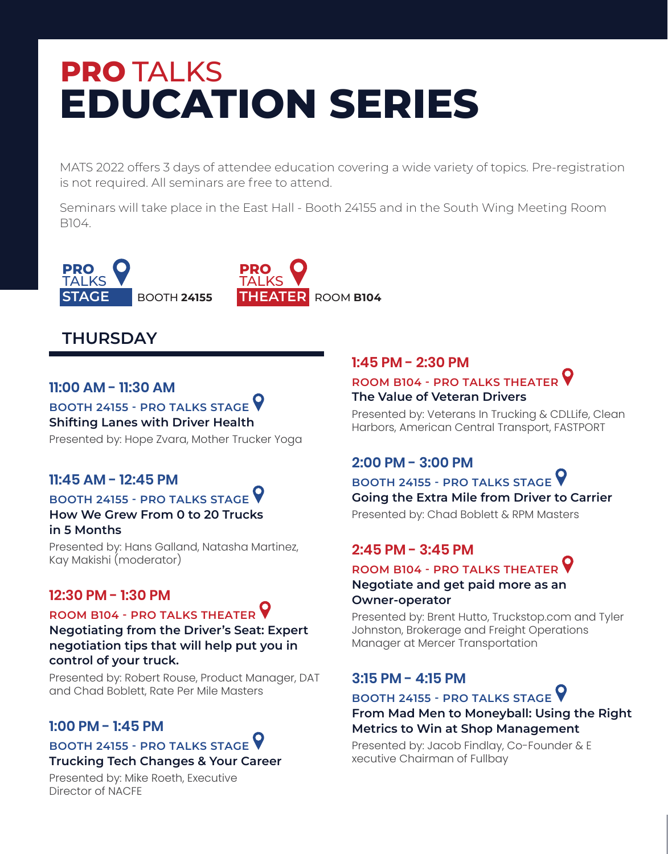# EDUCATION SERIES **PRO TALKS**

MATS 2022 offers 3 days of attendee education covering a wide variety of topics. Pre-registration is not required. All seminars are free to attend.

Seminars will take place in the East Hall - Booth 24155 and in the South Wing Meeting Room B104.



THURSDAY

## **11:00 AM - 11:30 AM**

BOOTH 24155 - PRO TALKS STAGE Shifting Lanes with Driver Health

Presented by: Hope Zvara, Mother Trucker Yoga

## **11:45 AM - 12:45 PM**

#### BOOTH 24155 - PRO TALKS STAGE How We Grew From 0 to 20 Trucks in 5 Months

Presented by: Hans Galland, Natasha Martinez, Kay Makishi (moderator)

## **12:30 PM - 1:30 PM**

## ROOM B104 - PRO TALKS THEATER

## Negotiating from the Driver's Seat: Expert negotiation tips that will help put you in control of your truck.

Presented by: Robert Rouse, Product Manager, DAT and Chad Boblett, Rate Per Mile Masters

## **1:00 PM - 1:45 PM**

## BOOTH 24155 - PRO TALKS STAGE Trucking Tech Changes & Your Career

Presented by: Mike Roeth, Executive Director of NACFE

## **1:45 PM - 2:30 PM**

## ROOM B104 - PRO TALKS THEATER  $\mathsf{\mathsf{P}}$ The Value of Veteran Drivers

Presented by: Veterans In Trucking & CDLLife, Clean Harbors, American Central Transport, FASTPORT

## **2:00 PM - 3:00 PM**

## BOOTH 24155 - PRO TALKS STAGE  $\bigcirc$ Going the Extra Mile from Driver to Carrier

Presented by: Chad Boblett & RPM Masters

## **2:45 PM - 3:45 PM**

### ROOM B104 - PRO TALKS THEATER Negotiate and get paid more as an Owner-operator

Presented by: Brent Hutto, Truckstop.com and Tyler Johnston, Brokerage and Freight Operations Manager at Mercer Transportation

## **3:15 PM - 4:15 PM**

## BOOTH 24155 - PRO TALKS STAGE  $\triangledown$ From Mad Men to Moneyball: Using the Right Metrics to Win at Shop Management

Presented by: Jacob Findlay, Co-Founder & E xecutive Chairman of Fullbay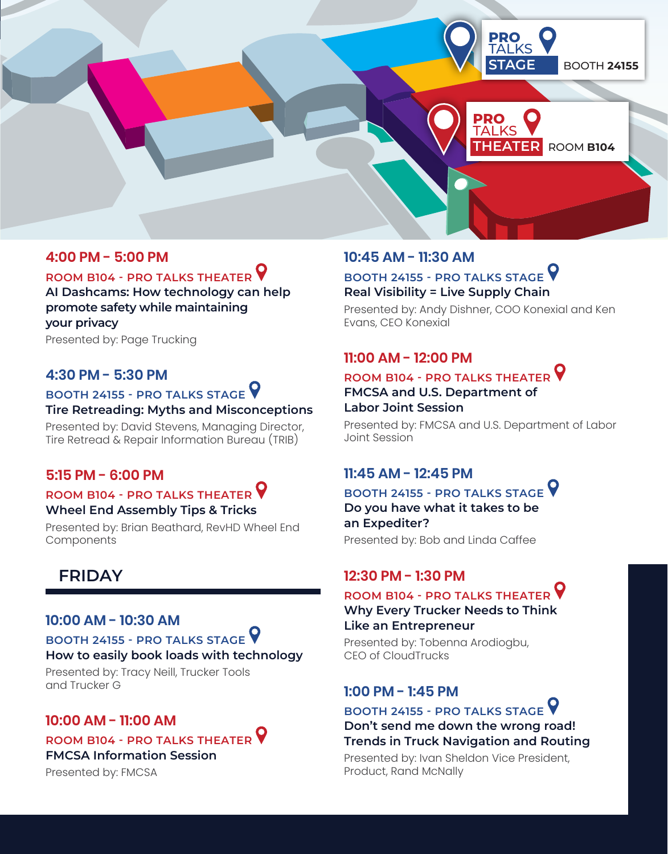

#### **4:00 PM - 5:00 PM**

ROOM B104 - PRO TALKS THEATER AI Dashcams: How technology can help promote safety while maintaining your privacy Presented by: Page Trucking

#### **4:30 PM - 5:30 PM**

#### BOOTH 24155 - PRO TALKS STAGE Tire Retreading: Myths and Misconceptions

Presented by: David Stevens, Managing Director, Tire Retread & Repair Information Bureau (TRIB)

#### **5:15 PM - 6:00 PM**

## ROOM B104 - PRO TALKS THEATER Wheel End Assembly Tips & Tricks

Presented by: Brian Beathard, RevHD Wheel End Components

## FRIDAY

## **10:00 AM - 10:30 AM**

### BOOTH 24155 - PRO TALKS STAGE How to easily book loads with technology Presented by: Tracy Neill, Trucker Tools

and Trucker G

### **10:00 AM - 11:00 AM**

#### ROOM B104 - PRO TALKS THEATER FMCSA Information Session

Presented by: FMCSA

## **10:45 AM - 11:30 AM** BOOTH 24155 - PRO TALKS STAGE  $\bm{\nabla}$ Real Visibility = Live Supply Chain

Presented by: Andy Dishner, COO Konexial and Ken Evans, CEO Konexial

## 11:00 AM - 12:00 PM

# 11:00 AM – 12:00 PM<br>ROOM B104 - PRO TALKS THEATER<br>EMCSA and U.S. Denattment of

#### FMCSA and U.S. Department of Labor Joint Session

Presented by: FMCSA and U.S. Department of Labor Joint Session

## **11:45 AM - 12:45 PM**

BOOTH 24155 - PRO TALKS STAGE  $\blacktriangledown$ Do you have what it takes to be an Expediter? Presented by: Bob and Linda Caffee

#### **12:30 PM - 1:30 PM**

## ROOM B104 - PRO TALKS THEATER Why Every Trucker Needs to Think Like an Entrepreneur

Presented by: Tobenna Arodiogbu, CEO of CloudTrucks

## **1:00 PM - 1:45 PM**

## BOOTH 24155 - PRO TALKS STAGE V

## Don't send me down the wrong road! Trends in Truck Navigation and Routing

Presented by: Ivan Sheldon Vice President, Product, Rand McNally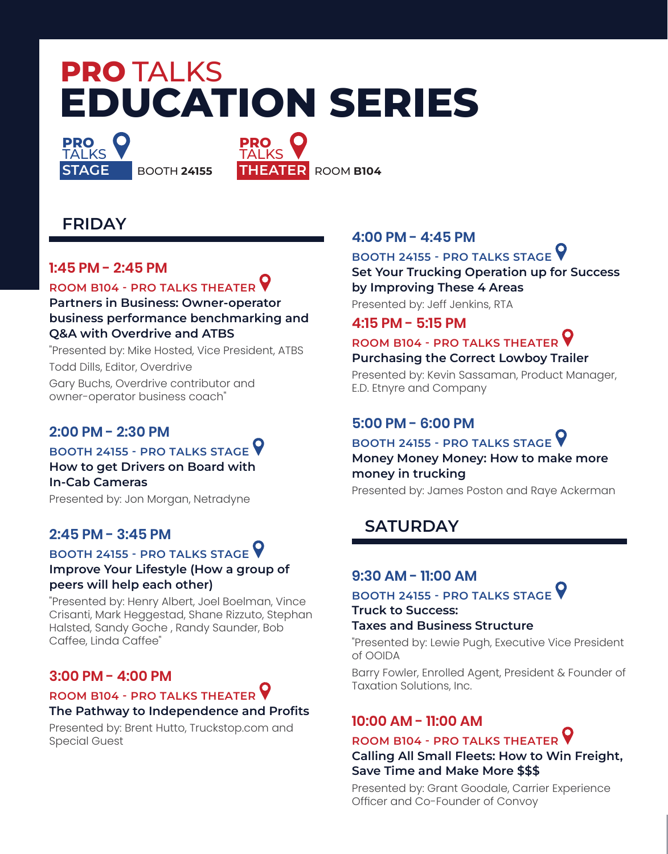# EDUCATION SERIES **PRO TALKS**

PRO TALKS STAGE BOOTH 24155



THEATER ROOM B104

## FRIDAY

## **1:45 PM - 2:45 PM**

## ROOM B104 - PRO TALKS THEATER

#### Partners in Business: Owner-operator business performance benchmarking and Q&A with Overdrive and ATBS

"Presented by: Mike Hosted, Vice President, ATBS Todd Dills, Editor, Overdrive Gary Buchs, Overdrive contributor and

owner-operator business coach"

## **2:00 PM - 2:30 PM**

## BOOTH 24155 - PRO TALKS STAGE How to get Drivers on Board with In-Cab Cameras

Presented by: Jon Morgan, Netradyne

## **2:45 PM - 3:45 PM**

### BOOTH 24155 - PRO TALKS STAGE Improve Your Lifestyle (How a group of peers will help each other)

"Presented by: Henry Albert, Joel Boelman, Vince Crisanti, Mark Heggestad, Shane Rizzuto, Stephan Halsted, Sandy Goche , Randy Saunder, Bob Caffee, Linda Caffee"

## **3:00 PM - 4:00 PM**

## ROOM B104 - PRO TALKS THEATER The Pathway to Independence and Profits

Presented by: Brent Hutto, Truckstop.com and Special Guest

## **4:00 PM - 4:45 PM**

## BOOTH 24155 - PRO TALKS STAGE  $\bigcirc$ Set Your Trucking Operation up for Success by Improving These 4 Areas

Presented by: Jeff Jenkins, RTA

## **4:15 PM - 5:15 PM**

## ROOM B104 - PRO TALKS THEATER Purchasing the Correct Lowboy Trailer

Presented by: Kevin Sassaman, Product Manager, E.D. Etnyre and Company

## **5:00 PM - 6:00 PM**

## BOOTH 24155 - PRO TALKS STAGE Money Money Money: How to make more money in trucking

Presented by: James Poston and Raye Ackerman

## **SATURDAY**

## **9:30 AM - 11:00 AM**

## BOOTH 24155 - PRO TALKS STAGE  $\triangledown$ Truck to Success: Taxes and Business Structure

"Presented by: Lewie Pugh, Executive Vice President of OOIDA

Barry Fowler, Enrolled Agent, President & Founder of Taxation Solutions, Inc.

## **10:00 AM - 11:00 AM**

## ROOM B104 - PRO TALKS THEATER Calling All Small Fleets: How to Win Freight, Save Time and Make More \$\$\$

Presented by: Grant Goodale, Carrier Experience Officer and Co-Founder of Convoy